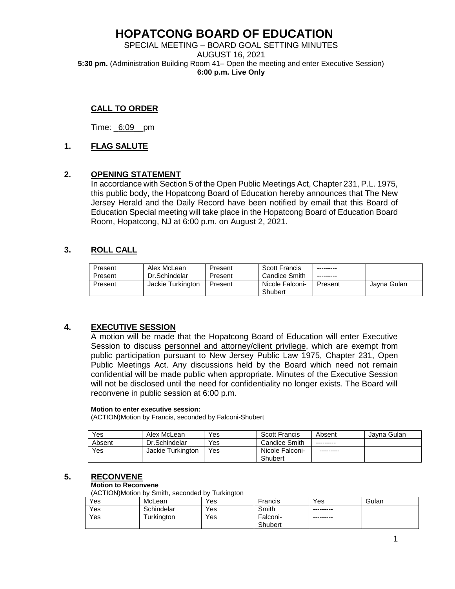# **HOPATCONG BOARD OF EDUCATION**

SPECIAL MEETING – BOARD GOAL SETTING MINUTES AUGUST 16, 2021 **5:30 pm.** (Administration Building Room 41– Open the meeting and enter Executive Session) **6:00 p.m. Live Only**

## **CALL TO ORDER**

Time: \_6:09\_\_pm

#### **1. FLAG SALUTE**

#### **2. OPENING STATEMENT**

In accordance with Section 5 of the Open Public Meetings Act, Chapter 231, P.L. 1975, this public body, the Hopatcong Board of Education hereby announces that The New Jersey Herald and the Daily Record have been notified by email that this Board of Education Special meeting will take place in the Hopatcong Board of Education Board Room, Hopatcong, NJ at 6:00 p.m. on August 2, 2021.

### **3. ROLL CALL**

| Present | Alex McLean       | Present | <b>Scott Francis</b>       | ---------  |             |
|---------|-------------------|---------|----------------------------|------------|-------------|
| Present | Dr.Schindelar     | Present | <b>Candice Smith</b>       | ---------- |             |
| Present | Jackie Turkington | Present | Nicole Falconi-<br>Shubert | Present    | Javna Gulan |

### **4. EXECUTIVE SESSION**

A motion will be made that the Hopatcong Board of Education will enter Executive Session to discuss personnel and attorney/client privilege, which are exempt from public participation pursuant to New Jersey Public Law 1975, Chapter 231, Open Public Meetings Act. Any discussions held by the Board which need not remain confidential will be made public when appropriate. Minutes of the Executive Session will not be disclosed until the need for confidentiality no longer exists. The Board will reconvene in public session at 6:00 p.m.

#### **Motion to enter executive session:**

(ACTION)Motion by Francis, seconded by Falconi-Shubert

| <b>Yes</b> | Alex McLean       | Yes | <b>Scott Francis</b> | Absent    | Javna Gulan |
|------------|-------------------|-----|----------------------|-----------|-------------|
| Absent     | Dr.Schindelar     | Yes | <b>Candice Smith</b> | --------- |             |
| Yes        | Jackie Turkington | Yes | Nicole Falconi-      | --------- |             |
|            |                   |     | Shubert              |           |             |

#### **5. RECONVENE**

#### **Motion to Reconvene**

(ACTION)Motion by Smith, seconded by Turkington

| Yes | McLean     | Yes | Francis  | Yes       | Gulan |
|-----|------------|-----|----------|-----------|-------|
| Yes | Schindelar | Yes | Smith    | --------- |       |
| Yes | Turkington | Yes | Falconi- | --------- |       |
|     |            |     | Shubert  |           |       |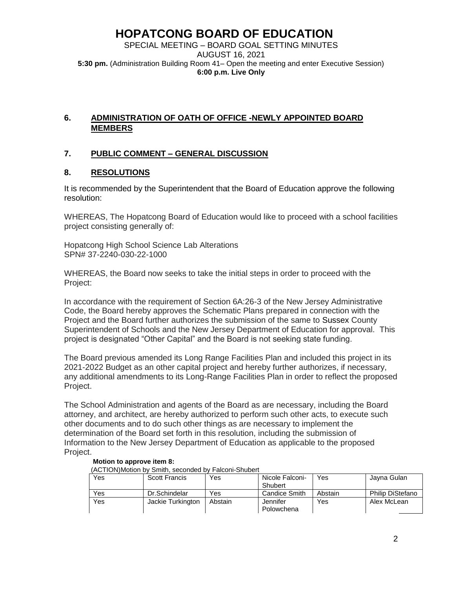# **HOPATCONG BOARD OF EDUCATION**

SPECIAL MEETING – BOARD GOAL SETTING MINUTES AUGUST 16, 2021 **5:30 pm.** (Administration Building Room 41– Open the meeting and enter Executive Session) **6:00 p.m. Live Only**

# **6. ADMINISTRATION OF OATH OF OFFICE -NEWLY APPOINTED BOARD MEMBERS**

## **7. PUBLIC COMMENT – GENERAL DISCUSSION**

### **8. RESOLUTIONS**

It is recommended by the Superintendent that the Board of Education approve the following resolution:

WHEREAS, The Hopatcong Board of Education would like to proceed with a school facilities project consisting generally of:

Hopatcong High School Science Lab Alterations SPN# 37-2240-030-22-1000

WHEREAS, the Board now seeks to take the initial steps in order to proceed with the Project:

In accordance with the requirement of Section 6A:26-3 of the New Jersey Administrative Code, the Board hereby approves the Schematic Plans prepared in connection with the Project and the Board further authorizes the submission of the same to Sussex County Superintendent of Schools and the New Jersey Department of Education for approval. This project is designated "Other Capital" and the Board is not seeking state funding.

The Board previous amended its Long Range Facilities Plan and included this project in its 2021-2022 Budget as an other capital project and hereby further authorizes, if necessary, any additional amendments to its Long-Range Facilities Plan in order to reflect the proposed Project.

The School Administration and agents of the Board as are necessary, including the Board attorney, and architect, are hereby authorized to perform such other acts, to execute such other documents and to do such other things as are necessary to implement the determination of the Board set forth in this resolution, including the submission of Information to the New Jersey Department of Education as applicable to the proposed Project.

| Yes | Scott Francis     | Yes     | Nicole Falconi- | Yes     | Jayna Gulan             |
|-----|-------------------|---------|-----------------|---------|-------------------------|
|     |                   |         | Shubert         |         |                         |
| Yes | Dr.Schindelar     | Yes     | Candice Smith   | Abstain | <b>Philip DiStefano</b> |
| Yes | Jackie Turkington | Abstain | Jennifer        | Yes     | Alex McLean             |
|     |                   |         | Polowchena      |         |                         |

#### **Motion to approve item 8:**

(ACTION)Motion by Smith, seconded by Falconi-Shubert